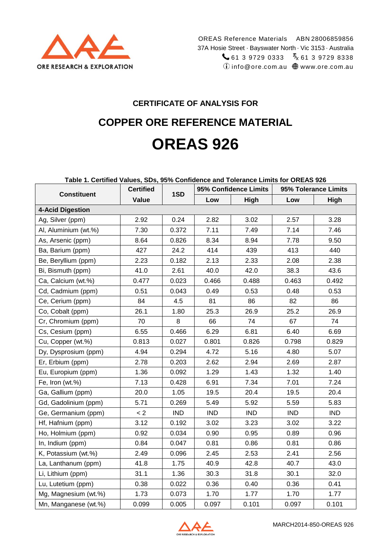

# **CERTIFICATE OF ANALYSIS FOR**

# **COPPER ORE REFERENCE MATERIAL OREAS 926**

#### **Table 1. Certified Values, SDs, 95% Confidence and Tolerance Limits for OREAS 926**

| <b>Constituent</b>      | <b>Certified</b> | 1SD        |            | 95% Confidence Limits | 95% Tolerance Limits |            |  |
|-------------------------|------------------|------------|------------|-----------------------|----------------------|------------|--|
|                         | Value            |            | Low        | High                  | Low                  | High       |  |
| <b>4-Acid Digestion</b> |                  |            |            |                       |                      |            |  |
| Ag, Silver (ppm)        | 2.92             | 0.24       | 2.82       | 3.02                  | 2.57                 | 3.28       |  |
| Al, Aluminium (wt.%)    | 7.30             | 0.372      | 7.11       | 7.49                  | 7.14                 | 7.46       |  |
| As, Arsenic (ppm)       | 8.64             | 0.826      | 8.34       | 8.94                  | 7.78                 | 9.50       |  |
| Ba, Barium (ppm)        | 427              | 24.2       | 414        | 439                   | 413                  | 440        |  |
| Be, Beryllium (ppm)     | 2.23             | 0.182      | 2.13       | 2.33                  | 2.08                 | 2.38       |  |
| Bi, Bismuth (ppm)       | 41.0             | 2.61       | 40.0       | 42.0                  | 38.3                 | 43.6       |  |
| Ca, Calcium (wt.%)      | 0.477            | 0.023      | 0.466      | 0.488                 | 0.463                | 0.492      |  |
| Cd, Cadmium (ppm)       | 0.51             | 0.043      | 0.49       | 0.53                  | 0.48                 | 0.53       |  |
| Ce, Cerium (ppm)        | 84               | 4.5        | 81         | 86                    | 82                   | 86         |  |
| Co, Cobalt (ppm)        | 26.1             | 1.80       | 25.3       | 26.9                  | 25.2                 | 26.9       |  |
| Cr, Chromium (ppm)      | 70               | 8          | 66         | 74                    | 67                   | 74         |  |
| Cs, Cesium (ppm)        | 6.55             | 0.466      | 6.29       | 6.81                  | 6.40                 | 6.69       |  |
| Cu, Copper (wt.%)       | 0.813            | 0.027      | 0.801      | 0.826                 | 0.798                | 0.829      |  |
| Dy, Dysprosium (ppm)    | 4.94             | 0.294      | 4.72       | 5.16                  | 4.80                 | 5.07       |  |
| Er, Erbium (ppm)        | 2.78             | 0.203      | 2.62       | 2.94                  | 2.69                 | 2.87       |  |
| Eu, Europium (ppm)      | 1.36             | 0.092      | 1.29       | 1.43                  | 1.32                 | 1.40       |  |
| Fe, Iron (wt.%)         | 7.13             | 0.428      | 6.91       | 7.34                  | 7.01                 | 7.24       |  |
| Ga, Gallium (ppm)       | 20.0             | 1.05       | 19.5       | 20.4                  | 19.5                 | 20.4       |  |
| Gd, Gadolinium (ppm)    | 5.71             | 0.269      | 5.49       | 5.92                  | 5.59                 | 5.83       |  |
| Ge, Germanium (ppm)     | < 2              | <b>IND</b> | <b>IND</b> | <b>IND</b>            | <b>IND</b>           | <b>IND</b> |  |
| Hf, Hafnium (ppm)       | 3.12             | 0.192      | 3.02       | 3.23                  | 3.02                 | 3.22       |  |
| Ho, Holmium (ppm)       | 0.92             | 0.034      | 0.90       | 0.95                  | 0.89                 | 0.96       |  |
| In, Indium (ppm)        | 0.84             | 0.047      | 0.81       | 0.86                  | 0.81                 | 0.86       |  |
| K, Potassium (wt.%)     | 2.49             | 0.096      | 2.45       | 2.53                  | 2.41                 | 2.56       |  |
| La, Lanthanum (ppm)     | 41.8             | 1.75       | 40.9       | 42.8                  | 40.7                 | 43.0       |  |
| Li, Lithium (ppm)       | 31.1             | 1.36       | 30.3       | 31.8                  | 30.1                 | 32.0       |  |
| Lu, Lutetium (ppm)      | 0.38             | 0.022      | 0.36       | 0.40                  | 0.36                 | 0.41       |  |
| Mg, Magnesium (wt.%)    | 1.73             | 0.073      | 1.70       | 1.77                  | 1.70                 | 1.77       |  |
| Mn, Manganese (wt.%)    | 0.099            | 0.005      | 0.097      | 0.101                 | 0.097                | 0.101      |  |

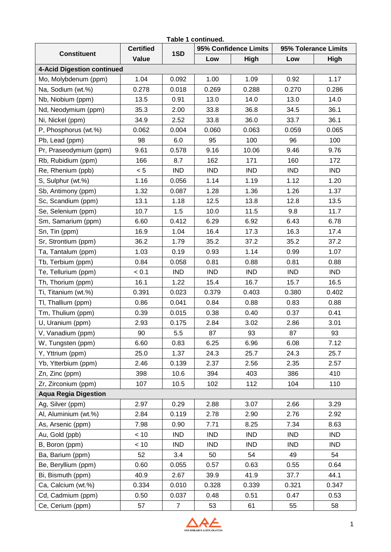| Table 1 continued.                |                  |                |            |                       |            |                      |    |  |  |  |  |  |
|-----------------------------------|------------------|----------------|------------|-----------------------|------------|----------------------|----|--|--|--|--|--|
| <b>Constituent</b>                | <b>Certified</b> | 1SD            |            | 95% Confidence Limits |            | 95% Tolerance Limits |    |  |  |  |  |  |
|                                   | Value            |                | Low        | High                  | Low        | High                 |    |  |  |  |  |  |
| <b>4-Acid Digestion continued</b> |                  |                |            |                       |            |                      |    |  |  |  |  |  |
| Mo, Molybdenum (ppm)              | 1.04             | 0.092          | 1.00       | 1.09                  | 0.92       | 1.17                 |    |  |  |  |  |  |
| Na, Sodium (wt.%)                 | 0.278            | 0.018          | 0.269      | 0.288                 | 0.270      | 0.286                |    |  |  |  |  |  |
| Nb, Niobium (ppm)                 | 13.5             | 0.91           | 13.0       | 14.0                  | 13.0       | 14.0                 |    |  |  |  |  |  |
| Nd, Neodymium (ppm)               | 35.3             | 2.00           | 33.8       | 36.8                  | 34.5       | 36.1                 |    |  |  |  |  |  |
| Ni, Nickel (ppm)                  | 34.9             | 2.52           | 33.8       | 36.0                  | 33.7       | 36.1                 |    |  |  |  |  |  |
| P, Phosphorus (wt.%)              | 0.062            | 0.004          | 0.060      | 0.063                 | 0.059      | 0.065                |    |  |  |  |  |  |
| Pb, Lead (ppm)                    | 98               | 6.0            | 95         | 100                   | 96         | 100                  |    |  |  |  |  |  |
| Pr, Praseodymium (ppm)            | 9.61             | 0.578          | 9.16       | 10.06                 | 9.46       | 9.76                 |    |  |  |  |  |  |
| Rb, Rubidium (ppm)                | 166              | 8.7            | 162        | 171                   | 160        | 172                  |    |  |  |  |  |  |
| Re, Rhenium (ppb)                 | < 5              | <b>IND</b>     | <b>IND</b> | <b>IND</b>            | <b>IND</b> | <b>IND</b>           |    |  |  |  |  |  |
| S, Sulphur (wt.%)                 | 1.16             | 0.056          | 1.14       | 1.19                  | 1.12       | 1.20                 |    |  |  |  |  |  |
| Sb, Antimony (ppm)                | 1.32             | 0.087          | 1.28       | 1.36                  | 1.26       | 1.37                 |    |  |  |  |  |  |
| Sc, Scandium (ppm)                | 13.1             | 1.18           | 12.5       | 13.8                  | 12.8       | 13.5                 |    |  |  |  |  |  |
| Se, Selenium (ppm)                | 10.7             | 1.5            | 10.0       | 11.5                  | 9.8        | 11.7                 |    |  |  |  |  |  |
| Sm, Samarium (ppm)                | 6.60             | 0.412          | 6.29       | 6.92                  | 6.43       | 6.78                 |    |  |  |  |  |  |
| Sn, Tin (ppm)                     | 16.9             | 1.04           | 16.4       | 17.3                  | 16.3       | 17.4                 |    |  |  |  |  |  |
| Sr, Strontium (ppm)               | 36.2             | 1.79           | 35.2       | 37.2                  | 35.2       | 37.2                 |    |  |  |  |  |  |
| Ta, Tantalum (ppm)                | 1.03             | 0.19           | 0.93       | 1.14                  | 0.99       | 1.07                 |    |  |  |  |  |  |
| Tb, Terbium (ppm)                 | 0.84             | 0.058          | 0.81       | 0.88                  | 0.81       | 0.88                 |    |  |  |  |  |  |
| Te, Tellurium (ppm)               | < 0.1            | <b>IND</b>     | <b>IND</b> | <b>IND</b>            | <b>IND</b> | <b>IND</b>           |    |  |  |  |  |  |
| Th, Thorium (ppm)                 | 16.1             | 1.22           | 15.4       | 16.7                  | 15.7       | 16.5                 |    |  |  |  |  |  |
| Ti, Titanium (wt.%)               | 0.391            | 0.023          | 0.379      | 0.403                 | 0.380      | 0.402                |    |  |  |  |  |  |
| TI, Thallium (ppm)                | 0.86             | 0.041          | 0.84       | 0.88                  | 0.83       | 0.88                 |    |  |  |  |  |  |
| Tm, Thulium (ppm)                 | 0.39             | 0.015          | 0.38       | 0.40                  | 0.37       | 0.41                 |    |  |  |  |  |  |
| U, Uranium (ppm)                  | 2.93             | 0.175          | 2.84       | 3.02                  | 2.86       | 3.01                 |    |  |  |  |  |  |
| V, Vanadium (ppm)                 | 90               | 5.5            | 87         |                       | 93         | 87                   | 93 |  |  |  |  |  |
| W, Tungsten (ppm)                 | 6.60             | 0.83           | 6.25       | 6.96                  | 6.08       | 7.12                 |    |  |  |  |  |  |
| Y, Yttrium (ppm)                  | 25.0             | 1.37           | 24.3       | 25.7                  | 24.3       | 25.7                 |    |  |  |  |  |  |
| Yb, Ytterbium (ppm)               | 2.46             | 0.139          | 2.37       | 2.56                  | 2.35       | 2.57                 |    |  |  |  |  |  |
| Zn, Zinc (ppm)                    | 398              | 10.6           | 394        | 403                   | 386        | 410                  |    |  |  |  |  |  |
| Zr, Zirconium (ppm)               | 107              | 10.5           | 102        | 112                   | 104        | 110                  |    |  |  |  |  |  |
| <b>Aqua Regia Digestion</b>       |                  |                |            |                       |            |                      |    |  |  |  |  |  |
| Ag, Silver (ppm)                  | 2.97             | 0.29           | 2.88       | 3.07                  | 2.66       | 3.29                 |    |  |  |  |  |  |
| Al, Aluminium (wt.%)              | 2.84             | 0.119          | 2.78       | 2.90                  | 2.76       | 2.92                 |    |  |  |  |  |  |
| As, Arsenic (ppm)                 | 7.98             | 0.90           | 7.71       | 8.25                  | 7.34       | 8.63                 |    |  |  |  |  |  |
| Au, Gold (ppb)                    | < 10             | <b>IND</b>     | IND        | <b>IND</b>            | <b>IND</b> | <b>IND</b>           |    |  |  |  |  |  |
| B, Boron (ppm)                    | < 10             | <b>IND</b>     | <b>IND</b> | <b>IND</b>            | <b>IND</b> | <b>IND</b>           |    |  |  |  |  |  |
| Ba, Barium (ppm)                  | 52               | 3.4            | 50         | 54                    | 49         | 54                   |    |  |  |  |  |  |
| Be, Beryllium (ppm)               | 0.60             | 0.055          | 0.57       | 0.63                  | 0.55       | 0.64                 |    |  |  |  |  |  |
| Bi, Bismuth (ppm)                 | 40.9             | 2.67           | 39.9       | 41.9                  | 37.7       | 44.1                 |    |  |  |  |  |  |
| Ca, Calcium (wt.%)                | 0.334            | 0.010          | 0.328      | 0.339                 | 0.321      | 0.347                |    |  |  |  |  |  |
| Cd, Cadmium (ppm)                 | 0.50             | 0.037          | 0.48       | 0.51                  | 0.47       | 0.53                 |    |  |  |  |  |  |
| Ce, Cerium (ppm)                  | 57               | $\overline{7}$ | 53         | 61                    | 55         | 58                   |    |  |  |  |  |  |

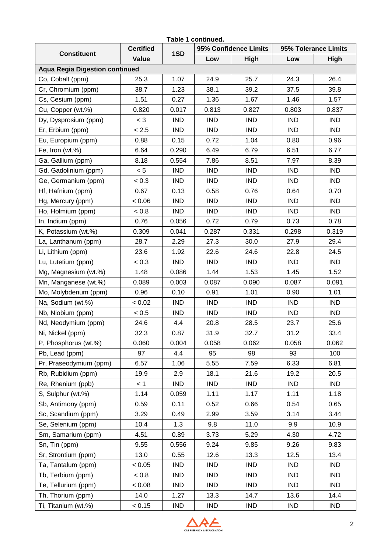| Table 1 continued.                    |                  |            |            |                       |            |                      |  |  |  |  |  |  |
|---------------------------------------|------------------|------------|------------|-----------------------|------------|----------------------|--|--|--|--|--|--|
| <b>Constituent</b>                    | <b>Certified</b> | 1SD        |            | 95% Confidence Limits |            | 95% Tolerance Limits |  |  |  |  |  |  |
|                                       | Value            |            | Low        | High                  | Low        | High                 |  |  |  |  |  |  |
| <b>Aqua Regia Digestion continued</b> |                  |            |            |                       |            |                      |  |  |  |  |  |  |
| Co, Cobalt (ppm)                      | 25.3             | 1.07       | 24.9       | 25.7                  | 24.3       | 26.4                 |  |  |  |  |  |  |
| Cr, Chromium (ppm)                    | 38.7             | 1.23       | 38.1       | 39.2                  | 37.5       | 39.8                 |  |  |  |  |  |  |
| Cs, Cesium (ppm)                      | 1.51             | 0.27       | 1.36       | 1.67                  | 1.46       | 1.57                 |  |  |  |  |  |  |
| Cu, Copper (wt.%)                     | 0.820            | 0.017      | 0.813      | 0.827                 | 0.803      | 0.837                |  |  |  |  |  |  |
| Dy, Dysprosium (ppm)                  | $<$ 3            | <b>IND</b> | <b>IND</b> | <b>IND</b>            | <b>IND</b> | <b>IND</b>           |  |  |  |  |  |  |
| Er, Erbium (ppm)                      | < 2.5            | <b>IND</b> | <b>IND</b> | <b>IND</b>            | <b>IND</b> | <b>IND</b>           |  |  |  |  |  |  |
| Eu, Europium (ppm)                    | 0.88             | 0.15       | 0.72       | 1.04                  | 0.80       | 0.96                 |  |  |  |  |  |  |
| Fe, Iron (wt.%)                       | 6.64             | 0.290      | 6.49       | 6.79                  | 6.51       | 6.77                 |  |  |  |  |  |  |
| Ga, Gallium (ppm)                     | 8.18             | 0.554      | 7.86       | 8.51                  | 7.97       | 8.39                 |  |  |  |  |  |  |
| Gd, Gadolinium (ppm)                  | < 5              | <b>IND</b> | <b>IND</b> | <b>IND</b>            | <b>IND</b> | <b>IND</b>           |  |  |  |  |  |  |
| Ge, Germanium (ppm)                   | < 0.3            | <b>IND</b> | <b>IND</b> | <b>IND</b>            | <b>IND</b> | <b>IND</b>           |  |  |  |  |  |  |
| Hf, Hafnium (ppm)                     | 0.67             | 0.13       | 0.58       | 0.76                  | 0.64       | 0.70                 |  |  |  |  |  |  |
| Hg, Mercury (ppm)                     | 0.06             | <b>IND</b> | <b>IND</b> | <b>IND</b>            | <b>IND</b> | <b>IND</b>           |  |  |  |  |  |  |
| Ho, Holmium (ppm)                     | < 0.8            | <b>IND</b> | <b>IND</b> | <b>IND</b>            | <b>IND</b> | <b>IND</b>           |  |  |  |  |  |  |
| In, Indium (ppm)                      | 0.76             | 0.056      | 0.72       | 0.79                  | 0.73       | 0.78                 |  |  |  |  |  |  |
| K, Potassium (wt.%)                   | 0.309            | 0.041      | 0.287      | 0.331                 | 0.298      | 0.319                |  |  |  |  |  |  |
| La, Lanthanum (ppm)                   | 28.7             | 2.29       | 27.3       | 30.0                  | 27.9       | 29.4                 |  |  |  |  |  |  |
| Li, Lithium (ppm)                     | 23.6             | 1.92       | 22.6       | 24.6                  | 22.8       | 24.5                 |  |  |  |  |  |  |
| Lu, Lutetium (ppm)                    | < 0.3            | <b>IND</b> | <b>IND</b> | <b>IND</b>            | <b>IND</b> | <b>IND</b>           |  |  |  |  |  |  |
| Mg, Magnesium (wt.%)                  | 1.48             | 0.086      | 1.44       | 1.53                  | 1.45       | 1.52                 |  |  |  |  |  |  |
| Mn, Manganese (wt.%)                  | 0.089            | 0.003      | 0.087      | 0.090                 | 0.087      | 0.091                |  |  |  |  |  |  |
| Mo, Molybdenum (ppm)                  | 0.96             | 0.10       | 0.91       | 1.01                  | 0.90       | 1.01                 |  |  |  |  |  |  |
| Na, Sodium (wt.%)                     | < 0.02           | <b>IND</b> | <b>IND</b> | <b>IND</b>            | <b>IND</b> | <b>IND</b>           |  |  |  |  |  |  |
| Nb, Niobium (ppm)                     | < 0.5            | <b>IND</b> | <b>IND</b> | <b>IND</b>            | <b>IND</b> | <b>IND</b>           |  |  |  |  |  |  |
| Nd, Neodymium (ppm)                   | 24.6             | 4.4        | 20.8       | 28.5                  | 23.7       | 25.6                 |  |  |  |  |  |  |
| Ni, Nickel (ppm)                      | 32.3             | 0.87       | 31.9       | 32.7                  | 31.2       | 33.4                 |  |  |  |  |  |  |
| P, Phosphorus (wt.%)                  | 0.060            | 0.004      | 0.058      | 0.062                 | 0.058      | 0.062                |  |  |  |  |  |  |
| Pb, Lead (ppm)                        | 97               | 4.4        | 95         | 98                    | 93         | 100                  |  |  |  |  |  |  |
| Pr, Praseodymium (ppm)                | 6.57             | 1.06       | 5.55       | 7.59                  | 6.33       | 6.81                 |  |  |  |  |  |  |
| Rb, Rubidium (ppm)                    | 19.9             | 2.9        | 18.1       | 21.6                  | 19.2       | 20.5                 |  |  |  |  |  |  |
| Re, Rhenium (ppb)                     | < 1              | <b>IND</b> | <b>IND</b> | <b>IND</b>            | <b>IND</b> | <b>IND</b>           |  |  |  |  |  |  |
| S, Sulphur (wt.%)                     | 1.14             | 0.059      | 1.11       | 1.17                  | 1.11       | 1.18                 |  |  |  |  |  |  |
| Sb, Antimony (ppm)                    | 0.59             | 0.11       | 0.52       | 0.66                  | 0.54       | 0.65                 |  |  |  |  |  |  |
| Sc, Scandium (ppm)                    | 3.29             | 0.49       | 2.99       | 3.59                  | 3.14       | 3.44                 |  |  |  |  |  |  |
| Se, Selenium (ppm)                    | 10.4             | 1.3        | 9.8        | 11.0                  | 9.9        | 10.9                 |  |  |  |  |  |  |
| Sm, Samarium (ppm)                    | 4.51             | 0.89       | 3.73       | 5.29                  | 4.30       | 4.72                 |  |  |  |  |  |  |
| Sn, Tin (ppm)                         | 9.55             | 0.556      | 9.24       | 9.85                  | 9.26       | 9.83                 |  |  |  |  |  |  |
| Sr, Strontium (ppm)                   | 13.0             | 0.55       | 12.6       | 13.3                  | 12.5       | 13.4                 |  |  |  |  |  |  |
| Ta, Tantalum (ppm)                    | < 0.05           | <b>IND</b> | <b>IND</b> | <b>IND</b>            | <b>IND</b> | <b>IND</b>           |  |  |  |  |  |  |
| Tb, Terbium (ppm)                     | $0.8 =$          | <b>IND</b> | IND        | <b>IND</b>            | <b>IND</b> | <b>IND</b>           |  |  |  |  |  |  |
| Te, Tellurium (ppm)                   | 0.08 <           | IND        | <b>IND</b> | <b>IND</b>            | <b>IND</b> | <b>IND</b>           |  |  |  |  |  |  |
| Th, Thorium (ppm)                     | 14.0             | 1.27       | 13.3       | 14.7                  | 13.6       | 14.4                 |  |  |  |  |  |  |
| Ti, Titanium (wt.%)                   | < 0.15           | <b>IND</b> | IND        | <b>IND</b>            | <b>IND</b> | <b>IND</b>           |  |  |  |  |  |  |

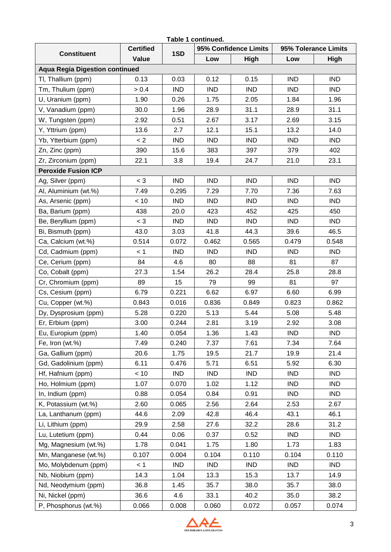| Table 1 continued.                    |                  |            |            |                       |            |                      |  |  |  |  |  |  |
|---------------------------------------|------------------|------------|------------|-----------------------|------------|----------------------|--|--|--|--|--|--|
| <b>Constituent</b>                    | <b>Certified</b> | 1SD        |            | 95% Confidence Limits |            | 95% Tolerance Limits |  |  |  |  |  |  |
|                                       | Value            |            | Low        | High                  | Low        | High                 |  |  |  |  |  |  |
| <b>Aqua Regia Digestion continued</b> |                  |            |            |                       |            |                      |  |  |  |  |  |  |
| TI, Thallium (ppm)                    | 0.13             | 0.03       | 0.12       | 0.15                  | <b>IND</b> | <b>IND</b>           |  |  |  |  |  |  |
| Tm, Thulium (ppm)                     | > 0.4            | <b>IND</b> | <b>IND</b> | <b>IND</b>            | <b>IND</b> | <b>IND</b>           |  |  |  |  |  |  |
| U, Uranium (ppm)                      | 1.90             | 0.26       | 1.75       | 2.05                  | 1.84       | 1.96                 |  |  |  |  |  |  |
| V, Vanadium (ppm)                     | 30.0             | 1.96       | 28.9       | 31.1                  | 28.9       | 31.1                 |  |  |  |  |  |  |
| W, Tungsten (ppm)                     | 2.92             | 0.51       | 2.67       | 3.17                  | 2.69       | 3.15                 |  |  |  |  |  |  |
| Y, Yttrium (ppm)                      | 13.6             | 2.7        | 12.1       | 15.1                  | 13.2       | 14.0                 |  |  |  |  |  |  |
| Yb, Ytterbium (ppm)                   | < 2              | <b>IND</b> | <b>IND</b> | <b>IND</b>            | <b>IND</b> | <b>IND</b>           |  |  |  |  |  |  |
| Zn, Zinc (ppm)                        | 390              | 15.6       | 383        | 397                   | 379        | 402                  |  |  |  |  |  |  |
| Zr, Zirconium (ppm)                   | 22.1             | 3.8        | 19.4       | 24.7                  | 21.0       | 23.1                 |  |  |  |  |  |  |
| <b>Peroxide Fusion ICP</b>            |                  |            |            |                       |            |                      |  |  |  |  |  |  |
| Ag, Silver (ppm)                      | $<$ 3            | <b>IND</b> | <b>IND</b> | <b>IND</b>            | <b>IND</b> | <b>IND</b>           |  |  |  |  |  |  |
| Al, Aluminium (wt.%)                  | 7.49             | 0.295      | 7.29       | 7.70                  | 7.36       | 7.63                 |  |  |  |  |  |  |
| As, Arsenic (ppm)                     | < 10             | <b>IND</b> | <b>IND</b> | <b>IND</b>            | <b>IND</b> | <b>IND</b>           |  |  |  |  |  |  |
| Ba, Barium (ppm)                      | 438              | 20.0       | 423        | 452                   | 425        | 450                  |  |  |  |  |  |  |
| Be, Beryllium (ppm)                   | $<$ 3            | <b>IND</b> | <b>IND</b> | <b>IND</b>            | <b>IND</b> | <b>IND</b>           |  |  |  |  |  |  |
| Bi, Bismuth (ppm)                     | 43.0             | 3.03       | 41.8       | 44.3                  | 39.6       | 46.5                 |  |  |  |  |  |  |
| Ca, Calcium (wt.%)                    | 0.514            | 0.072      | 0.462      | 0.565                 | 0.479      | 0.548                |  |  |  |  |  |  |
| Cd, Cadmium (ppm)                     | < 1              | <b>IND</b> | <b>IND</b> | <b>IND</b>            | <b>IND</b> | <b>IND</b>           |  |  |  |  |  |  |
| Ce, Cerium (ppm)                      | 84               | 4.6        | 80         | 88                    | 81         | 87                   |  |  |  |  |  |  |
| Co, Cobalt (ppm)                      | 27.3             | 1.54       | 26.2       | 28.4                  | 25.8       | 28.8                 |  |  |  |  |  |  |
| Cr, Chromium (ppm)                    | 89               | 15         | 79         | 99                    | 81         | 97                   |  |  |  |  |  |  |
| Cs, Cesium (ppm)                      | 6.79             | 0.221      | 6.62       | 6.97                  | 6.60       | 6.99                 |  |  |  |  |  |  |
| Cu, Copper (wt.%)                     | 0.843            | 0.016      | 0.836      | 0.849                 | 0.823      | 0.862                |  |  |  |  |  |  |
| Dy, Dysprosium (ppm)                  | 5.28             | 0.220      | 5.13       | 5.44                  | 5.08       | 5.48                 |  |  |  |  |  |  |
| Er, Erbium (ppm)                      | 3.00             | 0.244      | 2.81       | 3.19                  | 2.92       | 3.08                 |  |  |  |  |  |  |
| Eu, Europium (ppm)                    | 1.40             | 0.054      | 1.36       | 1.43                  | <b>IND</b> | <b>IND</b>           |  |  |  |  |  |  |
| Fe, Iron (wt.%)                       | 7.49             | 0.240      | 7.37       | 7.61                  | 7.34       | 7.64                 |  |  |  |  |  |  |
| Ga, Gallium (ppm)                     | 20.6             | 1.75       | 19.5       | 21.7                  | 19.9       | 21.4                 |  |  |  |  |  |  |
| Gd, Gadolinium (ppm)                  | 6.11             | 0.476      | 5.71       | 6.51                  | 5.92       | 6.30                 |  |  |  |  |  |  |
| Hf, Hafnium (ppm)                     | < 10             | <b>IND</b> | <b>IND</b> | <b>IND</b>            | <b>IND</b> | <b>IND</b>           |  |  |  |  |  |  |
| Ho, Holmium (ppm)                     | 1.07             | 0.070      | 1.02       | 1.12                  | <b>IND</b> | <b>IND</b>           |  |  |  |  |  |  |
| In, Indium (ppm)                      | 0.88             | 0.054      | 0.84       | 0.91                  | <b>IND</b> | <b>IND</b>           |  |  |  |  |  |  |
| K, Potassium (wt.%)                   | 2.60             | 0.065      | 2.56       | 2.64                  | 2.53       | 2.67                 |  |  |  |  |  |  |
| La, Lanthanum (ppm)                   | 44.6             | 2.09       | 42.8       | 46.4                  | 43.1       | 46.1                 |  |  |  |  |  |  |
| Li, Lithium (ppm)                     | 29.9             | 2.58       | 27.6       | 32.2                  | 28.6       | 31.2                 |  |  |  |  |  |  |
| Lu, Lutetium (ppm)                    | 0.44             | 0.06       | 0.37       | 0.52                  | <b>IND</b> | <b>IND</b>           |  |  |  |  |  |  |
| Mg, Magnesium (wt.%)                  | 1.78             | 0.041      | 1.75       | 1.80                  | 1.73       | 1.83                 |  |  |  |  |  |  |
| Mn, Manganese (wt.%)                  | 0.107            | 0.004      | 0.104      | 0.110                 | 0.104      | 0.110                |  |  |  |  |  |  |
| Mo, Molybdenum (ppm)                  | < 1              | <b>IND</b> | IND        | <b>IND</b>            | <b>IND</b> | <b>IND</b>           |  |  |  |  |  |  |
| Nb, Niobium (ppm)                     | 14.3             | 1.04       | 13.3       | 15.3                  | 13.7       | 14.9                 |  |  |  |  |  |  |
| Nd, Neodymium (ppm)                   | 36.8             | 1.45       | 35.7       | 38.0                  | 35.7       | 38.0                 |  |  |  |  |  |  |
| Ni, Nickel (ppm)                      | 36.6             | 4.6        | 33.1       | 40.2                  | 35.0       | 38.2                 |  |  |  |  |  |  |
| P, Phosphorus (wt.%)                  | 0.066            | 0.008      | 0.060      | 0.072                 | 0.057      | 0.074                |  |  |  |  |  |  |

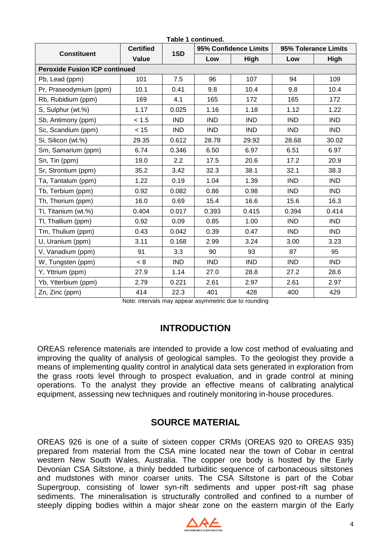|                                      | <b>Certified</b> |            |            | 95% Confidence Limits |            | 95% Tolerance Limits |
|--------------------------------------|------------------|------------|------------|-----------------------|------------|----------------------|
| <b>Constituent</b>                   | Value            | 1SD        | Low        | High                  | Low        | High                 |
| <b>Peroxide Fusion ICP continued</b> |                  |            |            |                       |            |                      |
| Pb, Lead (ppm)                       | 101              | 7.5        | 96         | 107                   | 94         | 109                  |
| Pr, Praseodymium (ppm)               | 10.1             | 0.41       | 9.8        | 10.4                  | 9.8        | 10.4                 |
| Rb, Rubidium (ppm)                   | 169              | 4.1        | 165        | 172                   | 165        | 172                  |
| S, Sulphur (wt.%)                    | 1.17             | 0.025      | 1.16       | 1.18                  | 1.12       | 1.22                 |
| Sb, Antimony (ppm)                   | < 1.5            | <b>IND</b> | <b>IND</b> | <b>IND</b>            | <b>IND</b> | <b>IND</b>           |
| Sc, Scandium (ppm)                   | < 15             | <b>IND</b> | <b>IND</b> | <b>IND</b>            | <b>IND</b> | <b>IND</b>           |
| Si, Silicon (wt.%)                   | 29.35            | 0.612      | 28.78      | 29.92                 | 28.68      | 30.02                |
| Sm, Samarium (ppm)                   | 6.74             | 0.346      | 6.50       | 6.97                  | 6.51       | 6.97                 |
| Sn, Tin (ppm)                        | 19.0             | 2.2        | 17.5       | 20.6                  | 17.2       | 20.9                 |
| Sr, Strontium (ppm)                  | 35.2             | 3.42       | 32.3       | 38.1                  | 32.1       | 38.3                 |
| Ta, Tantalum (ppm)                   | 1.22             | 0.19       | 1.04       | 1.39                  | <b>IND</b> | <b>IND</b>           |
| Tb, Terbium (ppm)                    | 0.92             | 0.082      | 0.86       | 0.98                  | <b>IND</b> | <b>IND</b>           |
| Th, Thorium (ppm)                    | 16.0             | 0.69       | 15.4       | 16.6                  | 15.6       | 16.3                 |
| Ti, Titanium (wt.%)                  | 0.404            | 0.017      | 0.393      | 0.415                 | 0.394      | 0.414                |
| TI, Thallium (ppm)                   | 0.92             | 0.09       | 0.85       | 1.00                  | <b>IND</b> | <b>IND</b>           |
| Tm, Thulium (ppm)                    | 0.43             | 0.042      | 0.39       | 0.47                  | <b>IND</b> | <b>IND</b>           |
| U, Uranium (ppm)                     | 3.11             | 0.168      | 2.99       | 3.24                  | 3.00       | 3.23                 |
| V, Vanadium (ppm)                    | 91               | 3.3        | 90         | 93                    | 87         | 95                   |
| W, Tungsten (ppm)                    | < 8              | <b>IND</b> | <b>IND</b> | <b>IND</b>            | <b>IND</b> | <b>IND</b>           |
| Y, Yttrium (ppm)                     | 27.9             | 1.14       | 27.0       | 28.8                  | 27.2       | 28.6                 |
| Yb, Ytterbium (ppm)                  | 2.79             | 0.221      | 2.61       | 2.97                  | 2.61       | 2.97                 |
| Zn, Zinc (ppm)                       | 414              | 22.3       | 401        | 428                   | 400        | 429                  |

Note: intervals may appear asymmetric due to rounding

### **INTRODUCTION**

OREAS reference materials are intended to provide a low cost method of evaluating and improving the quality of analysis of geological samples. To the geologist they provide a means of implementing quality control in analytical data sets generated in exploration from the grass roots level through to prospect evaluation, and in grade control at mining operations. To the analyst they provide an effective means of calibrating analytical equipment, assessing new techniques and routinely monitoring in-house procedures.

### **SOURCE MATERIAL**

OREAS 926 is one of a suite of sixteen copper CRMs (OREAS 920 to OREAS 935) prepared from material from the CSA mine located near the town of Cobar in central western New South Wales, Australia. The copper ore body is hosted by the Early Devonian CSA Siltstone, a thinly bedded turbiditic sequence of carbonaceous siltstones and mudstones with minor coarser units. The CSA Siltstone is part of the Cobar Supergroup, consisting of lower syn-rift sediments and upper post-rift sag phase sediments. The mineralisation is structurally controlled and confined to a number of steeply dipping bodies within a major shear zone on the eastern margin of the Early

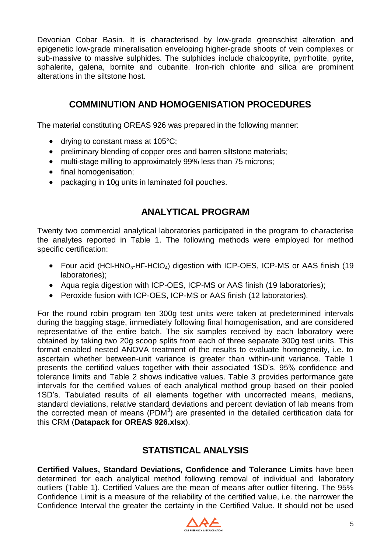Devonian Cobar Basin. It is characterised by low-grade greenschist alteration and epigenetic low-grade mineralisation enveloping higher-grade shoots of vein complexes or sub-massive to massive sulphides. The sulphides include chalcopyrite, pyrrhotite, pyrite, sphalerite, galena, bornite and cubanite. Iron-rich chlorite and silica are prominent alterations in the siltstone host.

# **COMMINUTION AND HOMOGENISATION PROCEDURES**

The material constituting OREAS 926 was prepared in the following manner:

- drying to constant mass at 105°C:
- preliminary blending of copper ores and barren siltstone materials;
- multi-stage milling to approximately 99% less than 75 microns;
- final homogenisation;
- packaging in 10g units in laminated foil pouches.

# **ANALYTICAL PROGRAM**

Twenty two commercial analytical laboratories participated in the program to characterise the analytes reported in Table 1. The following methods were employed for method specific certification:

- Four acid (HCl-HNO<sub>3</sub>-HF-HClO<sub>4</sub>) digestion with ICP-OES, ICP-MS or AAS finish (19 laboratories);
- Aqua regia digestion with ICP-OES, ICP-MS or AAS finish (19 laboratories);
- Peroxide fusion with ICP-OES, ICP-MS or AAS finish (12 laboratories).

For the round robin program ten 300g test units were taken at predetermined intervals during the bagging stage, immediately following final homogenisation, and are considered representative of the entire batch. The six samples received by each laboratory were obtained by taking two 20g scoop splits from each of three separate 300g test units. This format enabled nested ANOVA treatment of the results to evaluate homogeneity, i.e. to ascertain whether between-unit variance is greater than within-unit variance. Table 1 presents the certified values together with their associated 1SD's, 95% confidence and tolerance limits and Table 2 shows indicative values. Table 3 provides performance gate intervals for the certified values of each analytical method group based on their pooled 1SD's. Tabulated results of all elements together with uncorrected means, medians, standard deviations, relative standard deviations and percent deviation of lab means from the corrected mean of means (PDM $3$ ) are presented in the detailed certification data for this CRM (**Datapack for OREAS 926.xlsx**).

# **STATISTICAL ANALYSIS**

**Certified Values, Standard Deviations, Confidence and Tolerance Limits** have been determined for each analytical method following removal of individual and laboratory outliers (Table 1). Certified Values are the mean of means after outlier filtering. The 95% Confidence Limit is a measure of the reliability of the certified value, i.e. the narrower the Confidence Interval the greater the certainty in the Certified Value. It should not be used

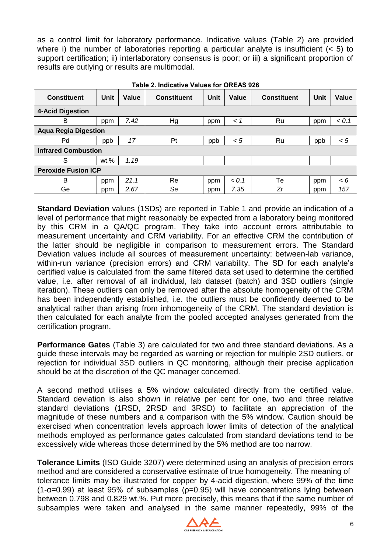as a control limit for laboratory performance. Indicative values (Table 2) are provided where i) the number of laboratories reporting a particular analyte is insufficient (< 5) to support certification; ii) interlaboratory consensus is poor; or iii) a significant proportion of results are outlying or results are multimodal.

| <b>Constituent</b>          | <b>Unit</b> | Value | <b>Constituent</b> | Unit | Value   | <b>Constituent</b> | Unit | Value    |
|-----------------------------|-------------|-------|--------------------|------|---------|--------------------|------|----------|
| <b>4-Acid Digestion</b>     |             |       |                    |      |         |                    |      |          |
| B                           | ppm         | 7.42  | Hg                 | ppm  | $\lt$ 1 | Ru                 | ppm  | < 0.1    |
| <b>Aqua Regia Digestion</b> |             |       |                    |      |         |                    |      |          |
| Pd                          | ppb         | 17    | Pt                 | ppb  | < 5     | Ru                 | ppb  | < 5      |
| <b>Infrared Combustion</b>  |             |       |                    |      |         |                    |      |          |
| S                           | $wt.$ %     | 1.19  |                    |      |         |                    |      |          |
| <b>Peroxide Fusion ICP</b>  |             |       |                    |      |         |                    |      |          |
| B                           | ppm         | 21.1  | Re                 | ppm  | < 0.1   | Тe                 | ppm  | $\leq 6$ |
| Ge                          | ppm         | 2.67  | Se                 | ppm  | 7.35    | Zr                 | ppm  | 157      |

**Table 2. Indicative Values for OREAS 926**

**Standard Deviation** values (1SDs) are reported in Table 1 and provide an indication of a level of performance that might reasonably be expected from a laboratory being monitored by this CRM in a QA/QC program. They take into account errors attributable to measurement uncertainty and CRM variability. For an effective CRM the contribution of the latter should be negligible in comparison to measurement errors. The Standard Deviation values include all sources of measurement uncertainty: between-lab variance, within-run variance (precision errors) and CRM variability. The SD for each analyte's certified value is calculated from the same filtered data set used to determine the certified value, i.e. after removal of all individual, lab dataset (batch) and 3SD outliers (single iteration). These outliers can only be removed after the absolute homogeneity of the CRM has been independently established, i.e. the outliers must be confidently deemed to be analytical rather than arising from inhomogeneity of the CRM. The standard deviation is then calculated for each analyte from the pooled accepted analyses generated from the certification program.

**Performance Gates** (Table 3) are calculated for two and three standard deviations. As a guide these intervals may be regarded as warning or rejection for multiple 2SD outliers, or rejection for individual 3SD outliers in QC monitoring, although their precise application should be at the discretion of the QC manager concerned.

A second method utilises a 5% window calculated directly from the certified value. Standard deviation is also shown in relative per cent for one, two and three relative standard deviations (1RSD, 2RSD and 3RSD) to facilitate an appreciation of the magnitude of these numbers and a comparison with the 5% window. Caution should be exercised when concentration levels approach lower limits of detection of the analytical methods employed as performance gates calculated from standard deviations tend to be excessively wide whereas those determined by the 5% method are too narrow.

**Tolerance Limits** (ISO Guide 3207) were determined using an analysis of precision errors method and are considered a conservative estimate of true homogeneity. The meaning of tolerance limits may be illustrated for copper by 4-acid digestion, where 99% of the time (1-α=0.99) at least 95% of subsamples (ρ=0.95) will have concentrations lying between between 0.798 and 0.829 wt.%. Put more precisely, this means that if the same number of subsamples were taken and analysed in the same manner repeatedly, 99% of the

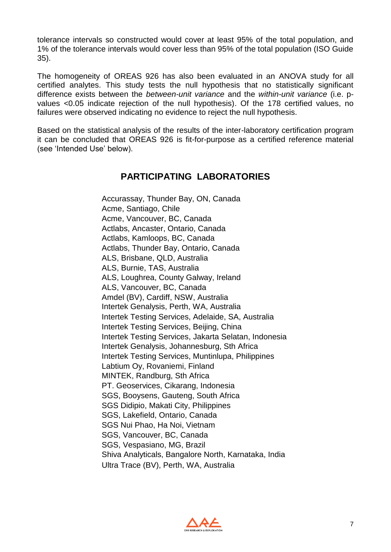tolerance intervals so constructed would cover at least 95% of the total population, and 1% of the tolerance intervals would cover less than 95% of the total population (ISO Guide 35).

The homogeneity of OREAS 926 has also been evaluated in an ANOVA study for all certified analytes. This study tests the null hypothesis that no statistically significant difference exists between the *between-unit variance* and the *within-unit variance* (i.e. pvalues <0.05 indicate rejection of the null hypothesis). Of the 178 certified values, no failures were observed indicating no evidence to reject the null hypothesis.

Based on the statistical analysis of the results of the inter-laboratory certification program it can be concluded that OREAS 926 is fit-for-purpose as a certified reference material (see 'Intended Use' below).

### **PARTICIPATING LABORATORIES**

Accurassay, Thunder Bay, ON, Canada Acme, Santiago, Chile Acme, Vancouver, BC, Canada Actlabs, Ancaster, Ontario, Canada Actlabs, Kamloops, BC, Canada Actlabs, Thunder Bay, Ontario, Canada ALS, Brisbane, QLD, Australia ALS, Burnie, TAS, Australia ALS, Loughrea, County Galway, Ireland ALS, Vancouver, BC, Canada Amdel (BV), Cardiff, NSW, Australia Intertek Genalysis, Perth, WA, Australia Intertek Testing Services, Adelaide, SA, Australia Intertek Testing Services, Beijing, China Intertek Testing Services, Jakarta Selatan, Indonesia Intertek Genalysis, Johannesburg, Sth Africa Intertek Testing Services, Muntinlupa, Philippines Labtium Oy, Rovaniemi, Finland MINTEK, Randburg, Sth Africa PT. Geoservices, Cikarang, Indonesia SGS, Booysens, Gauteng, South Africa SGS Didipio, Makati City, Philippines SGS, Lakefield, Ontario, Canada SGS Nui Phao, Ha Noi, Vietnam SGS, Vancouver, BC, Canada SGS, Vespasiano, MG, Brazil Shiva Analyticals, Bangalore North, Karnataka, India Ultra Trace (BV), Perth, WA, Australia

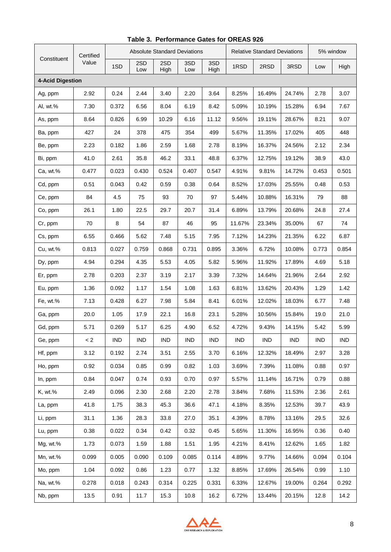|                         | Certified |       |            |             | <b>Absolute Standard Deviations</b> |             |            | <b>Relative Standard Deviations</b> |        |            | 5% window  |  |
|-------------------------|-----------|-------|------------|-------------|-------------------------------------|-------------|------------|-------------------------------------|--------|------------|------------|--|
| Constituent             | Value     | 1SD   | 2SD<br>Low | 2SD<br>High | 3SD<br>Low                          | 3SD<br>High | 1RSD       | 2RSD                                | 3RSD   | Low        | High       |  |
| <b>4-Acid Digestion</b> |           |       |            |             |                                     |             |            |                                     |        |            |            |  |
| Ag, ppm                 | 2.92      | 0.24  | 2.44       | 3.40        | 2.20                                | 3.64        | 8.25%      | 16.49%                              | 24.74% | 2.78       | 3.07       |  |
| Al, wt.%                | 7.30      | 0.372 | 6.56       | 8.04        | 6.19                                | 8.42        | 5.09%      | 10.19%                              | 15.28% | 6.94       | 7.67       |  |
| As, ppm                 | 8.64      | 0.826 | 6.99       | 10.29       | 6.16                                | 11.12       | 9.56%      | 19.11%                              | 28.67% | 8.21       | 9.07       |  |
| Ba, ppm                 | 427       | 24    | 378        | 475         | 354                                 | 499         | 5.67%      | 11.35%                              | 17.02% | 405        | 448        |  |
| Be, ppm                 | 2.23      | 0.182 | 1.86       | 2.59        | 1.68                                | 2.78        | 8.19%      | 16.37%                              | 24.56% | 2.12       | 2.34       |  |
| Bi, ppm                 | 41.0      | 2.61  | 35.8       | 46.2        | 33.1                                | 48.8        | 6.37%      | 12.75%                              | 19.12% | 38.9       | 43.0       |  |
| Ca, wt.%                | 0.477     | 0.023 | 0.430      | 0.524       | 0.407                               | 0.547       | 4.91%      | 9.81%                               | 14.72% | 0.453      | 0.501      |  |
| Cd, ppm                 | 0.51      | 0.043 | 0.42       | 0.59        | 0.38                                | 0.64        | 8.52%      | 17.03%                              | 25.55% | 0.48       | 0.53       |  |
| Ce, ppm                 | 84        | 4.5   | 75         | 93          | 70                                  | 97          | 5.44%      | 10.88%                              | 16.31% | 79         | 88         |  |
| Co, ppm                 | 26.1      | 1.80  | 22.5       | 29.7        | 20.7                                | 31.4        | 6.89%      | 13.79%                              | 20.68% | 24.8       | 27.4       |  |
| Cr, ppm                 | 70        | 8     | 54         | 87          | 46                                  | 95          | 11.67%     | 23.34%                              | 35.00% | 67         | 74         |  |
| Cs, ppm                 | 6.55      | 0.466 | 5.62       | 7.48        | 5.15                                | 7.95        | 7.12%      | 14.23%                              | 21.35% | 6.22       | 6.87       |  |
| Cu, wt.%                | 0.813     | 0.027 | 0.759      | 0.868       | 0.731                               | 0.895       | 3.36%      | 6.72%                               | 10.08% | 0.773      | 0.854      |  |
| Dy, ppm                 | 4.94      | 0.294 | 4.35       | 5.53        | 4.05                                | 5.82        | 5.96%      | 11.92%                              | 17.89% | 4.69       | 5.18       |  |
| Er, ppm                 | 2.78      | 0.203 | 2.37       | 3.19        | 2.17                                | 3.39        | 7.32%      | 14.64%                              | 21.96% | 2.64       | 2.92       |  |
| Eu, ppm                 | 1.36      | 0.092 | 1.17       | 1.54        | 1.08                                | 1.63        | 6.81%      | 13.62%                              | 20.43% | 1.29       | 1.42       |  |
| Fe, wt.%                | 7.13      | 0.428 | 6.27       | 7.98        | 5.84                                | 8.41        | 6.01%      | 12.02%                              | 18.03% | 6.77       | 7.48       |  |
| Ga, ppm                 | 20.0      | 1.05  | 17.9       | 22.1        | 16.8                                | 23.1        | 5.28%      | 10.56%                              | 15.84% | 19.0       | 21.0       |  |
| Gd, ppm                 | 5.71      | 0.269 | 5.17       | 6.25        | 4.90                                | 6.52        | 4.72%      | 9.43%                               | 14.15% | 5.42       | 5.99       |  |
| Ge, ppm                 | $\leq$ 2  | IND.  | <b>IND</b> | IND.        | IND.                                | <b>IND</b>  | <b>IND</b> | <b>IND</b>                          | IND.   | <b>IND</b> | <b>IND</b> |  |
| Hf, ppm                 | 3.12      | 0.192 | 2.74       | 3.51        | 2.55                                | 3.70        | 6.16%      | 12.32%                              | 18.49% | 2.97       | 3.28       |  |
| Ho, ppm                 | 0.92      | 0.034 | 0.85       | 0.99        | 0.82                                | 1.03        | 3.69%      | 7.39%                               | 11.08% | 0.88       | 0.97       |  |
| In, ppm                 | 0.84      | 0.047 | 0.74       | 0.93        | 0.70                                | 0.97        | 5.57%      | 11.14%                              | 16.71% | 0.79       | 0.88       |  |
| K, wt.%                 | 2.49      | 0.096 | 2.30       | 2.68        | 2.20                                | 2.78        | 3.84%      | 7.68%                               | 11.53% | 2.36       | 2.61       |  |
| La, ppm                 | 41.8      | 1.75  | 38.3       | 45.3        | 36.6                                | 47.1        | 4.18%      | 8.35%                               | 12.53% | 39.7       | 43.9       |  |
| Li, ppm                 | 31.1      | 1.36  | 28.3       | 33.8        | 27.0                                | 35.1        | 4.39%      | 8.78%                               | 13.16% | 29.5       | 32.6       |  |
| Lu, ppm                 | 0.38      | 0.022 | 0.34       | 0.42        | 0.32                                | 0.45        | 5.65%      | 11.30%                              | 16.95% | 0.36       | 0.40       |  |
| Mg, wt.%                | 1.73      | 0.073 | 1.59       | 1.88        | 1.51                                | 1.95        | 4.21%      | 8.41%                               | 12.62% | 1.65       | 1.82       |  |
| Mn, wt.%                | 0.099     | 0.005 | 0.090      | 0.109       | 0.085                               | 0.114       | 4.89%      | 9.77%                               | 14.66% | 0.094      | 0.104      |  |
| Mo, ppm                 | 1.04      | 0.092 | 0.86       | 1.23        | 0.77                                | 1.32        | 8.85%      | 17.69%                              | 26.54% | 0.99       | 1.10       |  |
| Na, wt.%                | 0.278     | 0.018 | 0.243      | 0.314       | 0.225                               | 0.331       | 6.33%      | 12.67%                              | 19.00% | 0.264      | 0.292      |  |
| Nb, ppm                 | 13.5      | 0.91  | 11.7       | 15.3        | 10.8                                | 16.2        | 6.72%      | 13.44%                              | 20.15% | 12.8       | 14.2       |  |

**Table 3. Performance Gates for OREAS 926**

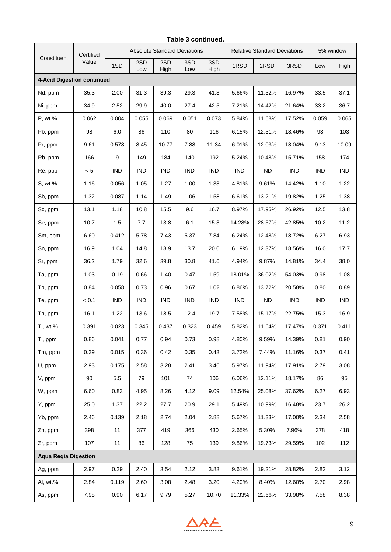|                             | Certified |            |            |             | <b>Absolute Standard Deviations</b> |             | <b>Relative Standard Deviations</b> |            |            | 5% window  |            |
|-----------------------------|-----------|------------|------------|-------------|-------------------------------------|-------------|-------------------------------------|------------|------------|------------|------------|
| Constituent                 | Value     | 1SD        | 2SD<br>Low | 2SD<br>High | 3SD<br>Low                          | 3SD<br>High | 1RSD                                | 2RSD       | 3RSD       | Low        | High       |
| 4-Acid Digestion continued  |           |            |            |             |                                     |             |                                     |            |            |            |            |
| Nd, ppm                     | 35.3      | 2.00       | 31.3       | 39.3        | 29.3                                | 41.3        | 5.66%                               | 11.32%     | 16.97%     | 33.5       | 37.1       |
| Ni, ppm                     | 34.9      | 2.52       | 29.9       | 40.0        | 27.4                                | 42.5        | 7.21%                               | 14.42%     | 21.64%     | 33.2       | 36.7       |
| P, wt.%                     | 0.062     | 0.004      | 0.055      | 0.069       | 0.051                               | 0.073       | 5.84%                               | 11.68%     | 17.52%     | 0.059      | 0.065      |
| Pb, ppm                     | 98        | 6.0        | 86         | 110         | 80                                  | 116         | 6.15%                               | 12.31%     | 18.46%     | 93         | 103        |
| Pr, ppm                     | 9.61      | 0.578      | 8.45       | 10.77       | 7.88                                | 11.34       | 6.01%                               | 12.03%     | 18.04%     | 9.13       | 10.09      |
| Rb, ppm                     | 166       | 9          | 149        | 184         | 140                                 | 192         | 5.24%                               | 10.48%     | 15.71%     | 158        | 174        |
| Re, ppb                     | < 5       | <b>IND</b> | <b>IND</b> | <b>IND</b>  | <b>IND</b>                          | <b>IND</b>  | <b>IND</b>                          | <b>IND</b> | <b>IND</b> | <b>IND</b> | <b>IND</b> |
| S, wt.%                     | 1.16      | 0.056      | 1.05       | 1.27        | 1.00                                | 1.33        | 4.81%                               | 9.61%      | 14.42%     | 1.10       | 1.22       |
| Sb, ppm                     | 1.32      | 0.087      | 1.14       | 1.49        | 1.06                                | 1.58        | 6.61%                               | 13.21%     | 19.82%     | 1.25       | 1.38       |
| Sc, ppm                     | 13.1      | 1.18       | 10.8       | 15.5        | 9.6                                 | 16.7        | 8.97%                               | 17.95%     | 26.92%     | 12.5       | 13.8       |
| Se, ppm                     | 10.7      | 1.5        | 7.7        | 13.8        | 6.1                                 | 15.3        | 14.28%                              | 28.57%     | 42.85%     | 10.2       | 11.2       |
| Sm, ppm                     | 6.60      | 0.412      | 5.78       | 7.43        | 5.37                                | 7.84        | 6.24%                               | 12.48%     | 18.72%     | 6.27       | 6.93       |
| Sn, ppm                     | 16.9      | 1.04       | 14.8       | 18.9        | 13.7                                | 20.0        | 6.19%                               | 12.37%     | 18.56%     | 16.0       | 17.7       |
| Sr, ppm                     | 36.2      | 1.79       | 32.6       | 39.8        | 30.8                                | 41.6        | 4.94%                               | 9.87%      | 14.81%     | 34.4       | 38.0       |
| Ta, ppm                     | 1.03      | 0.19       | 0.66       | 1.40        | 0.47                                | 1.59        | 18.01%                              | 36.02%     | 54.03%     | 0.98       | 1.08       |
| Tb, ppm                     | 0.84      | 0.058      | 0.73       | 0.96        | 0.67                                | 1.02        | 6.86%                               | 13.72%     | 20.58%     | 0.80       | 0.89       |
| Te, ppm                     | < 0.1     | IND        | <b>IND</b> | <b>IND</b>  | IND                                 | <b>IND</b>  | <b>IND</b>                          | IND        | <b>IND</b> | <b>IND</b> | <b>IND</b> |
| Th, ppm                     | 16.1      | 1.22       | 13.6       | 18.5        | 12.4                                | 19.7        | 7.58%                               | 15.17%     | 22.75%     | 15.3       | 16.9       |
| Ti, wt.%                    | 0.391     | 0.023      | 0.345      | 0.437       | 0.323                               | 0.459       | 5.82%                               | 11.64%     | 17.47%     | 0.371      | 0.411      |
| TI, ppm                     | 0.86      | 0.041      | 0.77       | 0.94        | 0.73                                | 0.98        | 4.80%                               | 9.59%      | 14.39%     | 0.81       | 0.90       |
| Tm, ppm                     | 0.39      | 0.015      | 0.36       | 0.42        | 0.35                                | 0.43        | 3.72%                               | 7.44%      | 11.16%     | 0.37       | 0.41       |
| U, ppm                      | 2.93      | 0.175      | 2.58       | 3.28        | 2.41                                | 3.46        | 5.97%                               | 11.94%     | 17.91%     | 2.79       | 3.08       |
| V, ppm                      | 90        | 5.5        | 79         | 101         | 74                                  | 106         | 6.06%                               | 12.11%     | 18.17%     | 86         | 95         |
| W, ppm                      | 6.60      | 0.83       | 4.95       | 8.26        | 4.12                                | 9.09        | 12.54%                              | 25.08%     | 37.62%     | 6.27       | 6.93       |
| Y, ppm                      | 25.0      | 1.37       | 22.2       | 27.7        | 20.9                                | 29.1        | 5.49%                               | 10.99%     | 16.48%     | 23.7       | 26.2       |
| Yb, ppm                     | 2.46      | 0.139      | 2.18       | 2.74        | 2.04                                | 2.88        | 5.67%                               | 11.33%     | 17.00%     | 2.34       | 2.58       |
| Zn, ppm                     | 398       | 11         | 377        | 419         | 366                                 | 430         | 2.65%                               | 5.30%      | 7.96%      | 378        | 418        |
| Zr, ppm                     | 107       | 11         | 86         | 128         | 75                                  | 139         | 9.86%                               | 19.73%     | 29.59%     | 102        | 112        |
| <b>Aqua Regia Digestion</b> |           |            |            |             |                                     |             |                                     |            |            |            |            |
| Ag, ppm                     | 2.97      | 0.29       | 2.40       | 3.54        | 2.12                                | 3.83        | 9.61%                               | 19.21%     | 28.82%     | 2.82       | 3.12       |
| Al, wt.%                    | 2.84      | 0.119      | 2.60       | 3.08        | 2.48                                | 3.20        | 4.20%                               | 8.40%      | 12.60%     | 2.70       | 2.98       |
| As, ppm                     | 7.98      | 0.90       | 6.17       | 9.79        | 5.27                                | 10.70       | 11.33%                              | 22.66%     | 33.98%     | 7.58       | 8.38       |



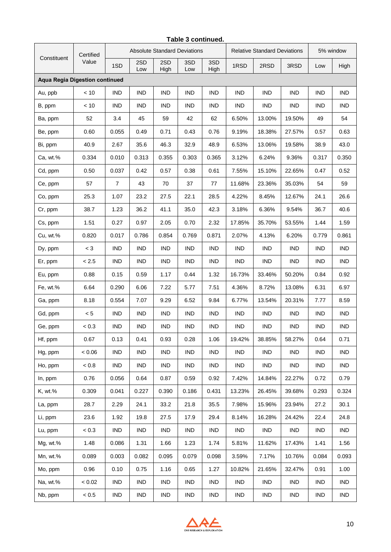|                                       | Certified |                |            |             | <b>Absolute Standard Deviations</b> |             |            | <b>Relative Standard Deviations</b> |            | 5% window  |            |
|---------------------------------------|-----------|----------------|------------|-------------|-------------------------------------|-------------|------------|-------------------------------------|------------|------------|------------|
| Constituent                           | Value     | 1SD            | 2SD<br>Low | 2SD<br>High | 3SD<br>Low                          | 3SD<br>High | 1RSD       | 2RSD                                | 3RSD       | Low        | High       |
| <b>Aqua Regia Digestion continued</b> |           |                |            |             |                                     |             |            |                                     |            |            |            |
| Au, ppb                               | < 10      | <b>IND</b>     | <b>IND</b> | <b>IND</b>  | <b>IND</b>                          | <b>IND</b>  | <b>IND</b> | <b>IND</b>                          | <b>IND</b> | <b>IND</b> | <b>IND</b> |
| B, ppm                                | < 10      | <b>IND</b>     | <b>IND</b> | <b>IND</b>  | <b>IND</b>                          | <b>IND</b>  | <b>IND</b> | <b>IND</b>                          | <b>IND</b> | <b>IND</b> | <b>IND</b> |
| Ba, ppm                               | 52        | 3.4            | 45         | 59          | 42                                  | 62          | 6.50%      | 13.00%                              | 19.50%     | 49         | 54         |
| Be, ppm                               | 0.60      | 0.055          | 0.49       | 0.71        | 0.43                                | 0.76        | 9.19%      | 18.38%                              | 27.57%     | 0.57       | 0.63       |
| Bi, ppm                               | 40.9      | 2.67           | 35.6       | 46.3        | 32.9                                | 48.9        | 6.53%      | 13.06%                              | 19.58%     | 38.9       | 43.0       |
| Ca, wt.%                              | 0.334     | 0.010          | 0.313      | 0.355       | 0.303                               | 0.365       | 3.12%      | 6.24%                               | 9.36%      | 0.317      | 0.350      |
| Cd, ppm                               | 0.50      | 0.037          | 0.42       | 0.57        | 0.38                                | 0.61        | 7.55%      | 15.10%                              | 22.65%     | 0.47       | 0.52       |
| Ce, ppm                               | 57        | $\overline{7}$ | 43         | 70          | 37                                  | 77          | 11.68%     | 23.36%                              | 35.03%     | 54         | 59         |
| Co, ppm                               | 25.3      | 1.07           | 23.2       | 27.5        | 22.1                                | 28.5        | 4.22%      | 8.45%                               | 12.67%     | 24.1       | 26.6       |
| Cr, ppm                               | 38.7      | 1.23           | 36.2       | 41.1        | 35.0                                | 42.3        | 3.18%      | 6.36%                               | 9.54%      | 36.7       | 40.6       |
| Cs, ppm                               | 1.51      | 0.27           | 0.97       | 2.05        | 0.70                                | 2.32        | 17.85%     | 35.70%                              | 53.55%     | 1.44       | 1.59       |
| Cu, wt.%                              | 0.820     | 0.017          | 0.786      | 0.854       | 0.769                               | 0.871       | 2.07%      | 4.13%                               | 6.20%      | 0.779      | 0.861      |
| Dy, ppm                               | $<$ 3     | <b>IND</b>     | <b>IND</b> | <b>IND</b>  | <b>IND</b>                          | <b>IND</b>  | <b>IND</b> | <b>IND</b>                          | <b>IND</b> | <b>IND</b> | <b>IND</b> |
| Er, ppm                               | < 2.5     | <b>IND</b>     | <b>IND</b> | <b>IND</b>  | <b>IND</b>                          | <b>IND</b>  | <b>IND</b> | <b>IND</b>                          | <b>IND</b> | <b>IND</b> | <b>IND</b> |
| Eu, ppm                               | 0.88      | 0.15           | 0.59       | 1.17        | 0.44                                | 1.32        | 16.73%     | 33.46%                              | 50.20%     | 0.84       | 0.92       |
| Fe, wt.%                              | 6.64      | 0.290          | 6.06       | 7.22        | 5.77                                | 7.51        | 4.36%      | 8.72%                               | 13.08%     | 6.31       | 6.97       |
| Ga, ppm                               | 8.18      | 0.554          | 7.07       | 9.29        | 6.52                                | 9.84        | 6.77%      | 13.54%                              | 20.31%     | 7.77       | 8.59       |
| Gd, ppm                               | < 5       | <b>IND</b>     | <b>IND</b> | <b>IND</b>  | <b>IND</b>                          | <b>IND</b>  | <b>IND</b> | <b>IND</b>                          | <b>IND</b> | <b>IND</b> | <b>IND</b> |
| Ge, ppm                               | < 0.3     | <b>IND</b>     | <b>IND</b> | <b>IND</b>  | IND                                 | <b>IND</b>  | <b>IND</b> | <b>IND</b>                          | <b>IND</b> | <b>IND</b> | <b>IND</b> |
| Hf, ppm                               | 0.67      | 0.13           | 0.41       | 0.93        | 0.28                                | 1.06        | 19.42%     | 38.85%                              | 58.27%     | 0.64       | 0.71       |
| Hg, ppm                               | 0.06      | IND            | <b>IND</b> | <b>IND</b>  | IND                                 | <b>IND</b>  | <b>IND</b> | IND                                 | IND        | <b>IND</b> | <b>IND</b> |
| Ho, ppm                               | < 0.8     | <b>IND</b>     | <b>IND</b> | <b>IND</b>  | IND                                 | IND         | IND        | IND                                 | IND        | <b>IND</b> | <b>IND</b> |
| In, ppm                               | 0.76      | 0.056          | 0.64       | 0.87        | 0.59                                | 0.92        | 7.42%      | 14.84%                              | 22.27%     | 0.72       | 0.79       |
| K, wt.%                               | 0.309     | 0.041          | 0.227      | 0.390       | 0.186                               | 0.431       | 13.23%     | 26.45%                              | 39.68%     | 0.293      | 0.324      |
| La, ppm                               | 28.7      | 2.29           | 24.1       | 33.2        | 21.8                                | 35.5        | 7.98%      | 15.96%                              | 23.94%     | 27.2       | 30.1       |
| Li, ppm                               | 23.6      | 1.92           | 19.8       | 27.5        | 17.9                                | 29.4        | 8.14%      | 16.28%                              | 24.42%     | 22.4       | 24.8       |
| Lu, ppm                               | < 0.3     | <b>IND</b>     | <b>IND</b> | <b>IND</b>  | IND                                 | <b>IND</b>  | <b>IND</b> | IND                                 | IND        | <b>IND</b> | <b>IND</b> |
| Mg, wt.%                              | 1.48      | 0.086          | 1.31       | 1.66        | 1.23                                | 1.74        | 5.81%      | 11.62%                              | 17.43%     | 1.41       | 1.56       |
| Mn, wt.%                              | 0.089     | 0.003          | 0.082      | 0.095       | 0.079                               | 0.098       | 3.59%      | 7.17%                               | 10.76%     | 0.084      | 0.093      |
| Mo, ppm                               | 0.96      | 0.10           | 0.75       | 1.16        | 0.65                                | 1.27        | 10.82%     | 21.65%                              | 32.47%     | 0.91       | 1.00       |
| Na, wt.%                              | < 0.02    | IND            | <b>IND</b> | <b>IND</b>  | IND                                 | <b>IND</b>  | IND        | IND                                 | <b>IND</b> | <b>IND</b> | <b>IND</b> |
| Nb, ppm                               | < 0.5     | <b>IND</b>     | IND        | IND         | IND                                 | <b>IND</b>  | <b>IND</b> | IND                                 | IND        | <b>IND</b> | <b>IND</b> |



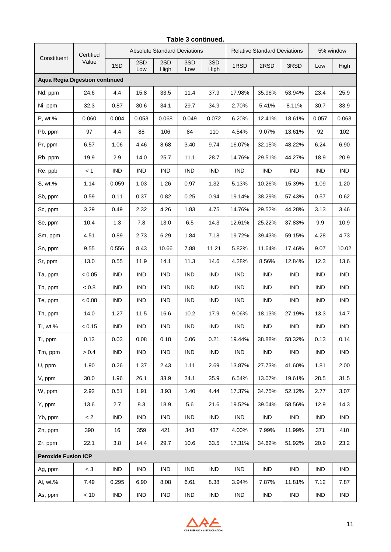|                                       | Certified |            |            |             | <b>Absolute Standard Deviations</b> |             | <b>Relative Standard Deviations</b> |            |            | 5% window  |            |
|---------------------------------------|-----------|------------|------------|-------------|-------------------------------------|-------------|-------------------------------------|------------|------------|------------|------------|
| Constituent                           | Value     | 1SD        | 2SD<br>Low | 2SD<br>High | 3SD<br>Low                          | 3SD<br>High | 1RSD                                | 2RSD       | 3RSD       | Low        | High       |
| <b>Aqua Regia Digestion continued</b> |           |            |            |             |                                     |             |                                     |            |            |            |            |
| Nd, ppm                               | 24.6      | 4.4        | 15.8       | 33.5        | 11.4                                | 37.9        | 17.98%                              | 35.96%     | 53.94%     | 23.4       | 25.9       |
| Ni, ppm                               | 32.3      | 0.87       | 30.6       | 34.1        | 29.7                                | 34.9        | 2.70%                               | 5.41%      | 8.11%      | 30.7       | 33.9       |
| P, wt.%                               | 0.060     | 0.004      | 0.053      | 0.068       | 0.049                               | 0.072       | 6.20%                               | 12.41%     | 18.61%     | 0.057      | 0.063      |
| Pb, ppm                               | 97        | 4.4        | 88         | 106         | 84                                  | 110         | 4.54%                               | 9.07%      | 13.61%     | 92         | 102        |
| Pr, ppm                               | 6.57      | 1.06       | 4.46       | 8.68        | 3.40                                | 9.74        | 16.07%                              | 32.15%     | 48.22%     | 6.24       | 6.90       |
| Rb, ppm                               | 19.9      | 2.9        | 14.0       | 25.7        | 11.1                                | 28.7        | 14.76%                              | 29.51%     | 44.27%     | 18.9       | 20.9       |
| Re, ppb                               | < 1       | <b>IND</b> | <b>IND</b> | <b>IND</b>  | IND                                 | <b>IND</b>  | <b>IND</b>                          | IND        | <b>IND</b> | <b>IND</b> | <b>IND</b> |
| S, wt.%                               | 1.14      | 0.059      | 1.03       | 1.26        | 0.97                                | 1.32        | 5.13%                               | 10.26%     | 15.39%     | 1.09       | 1.20       |
| Sb, ppm                               | 0.59      | 0.11       | 0.37       | 0.82        | 0.25                                | 0.94        | 19.14%                              | 38.29%     | 57.43%     | 0.57       | 0.62       |
| Sc, ppm                               | 3.29      | 0.49       | 2.32       | 4.26        | 1.83                                | 4.75        | 14.76%                              | 29.52%     | 44.28%     | 3.13       | 3.46       |
| Se, ppm                               | 10.4      | 1.3        | 7.8        | 13.0        | 6.5                                 | 14.3        | 12.61%                              | 25.22%     | 37.83%     | 9.9        | 10.9       |
| Sm, ppm                               | 4.51      | 0.89       | 2.73       | 6.29        | 1.84                                | 7.18        | 19.72%                              | 39.43%     | 59.15%     | 4.28       | 4.73       |
| Sn, ppm                               | 9.55      | 0.556      | 8.43       | 10.66       | 7.88                                | 11.21       | 5.82%                               | 11.64%     | 17.46%     | 9.07       | 10.02      |
| Sr, ppm                               | 13.0      | 0.55       | 11.9       | 14.1        | 11.3                                | 14.6        | 4.28%                               | 8.56%      | 12.84%     | 12.3       | 13.6       |
| Ta, ppm                               | < 0.05    | <b>IND</b> | <b>IND</b> | IND         | IND.                                | <b>IND</b>  | <b>IND</b>                          | IND        | <b>IND</b> | <b>IND</b> | <b>IND</b> |
| Tb, ppm                               | < 0.8     | <b>IND</b> | <b>IND</b> | <b>IND</b>  | <b>IND</b>                          | <b>IND</b>  | <b>IND</b>                          | <b>IND</b> | <b>IND</b> | <b>IND</b> | <b>IND</b> |
| Te, ppm                               | < 0.08    | IND        | <b>IND</b> | <b>IND</b>  | IND                                 | <b>IND</b>  | <b>IND</b>                          | IND        | <b>IND</b> | <b>IND</b> | <b>IND</b> |
| Th, ppm                               | 14.0      | 1.27       | 11.5       | 16.6        | 10.2                                | 17.9        | 9.06%                               | 18.13%     | 27.19%     | 13.3       | 14.7       |
| Ti, wt.%                              | < 0.15    | <b>IND</b> | <b>IND</b> | <b>IND</b>  | <b>IND</b>                          | <b>IND</b>  | <b>IND</b>                          | IND        | <b>IND</b> | <b>IND</b> | IND        |
| TI, ppm                               | 0.13      | 0.03       | 0.08       | 0.18        | 0.06                                | 0.21        | 19.44%                              | 38.88%     | 58.32%     | 0.13       | 0.14       |
| Tm, ppm                               | > 0.4     | <b>IND</b> | <b>IND</b> | <b>IND</b>  | <b>IND</b>                          | <b>IND</b>  | <b>IND</b>                          | IND        | IND        | <b>IND</b> | <b>IND</b> |
| U, ppm                                | 1.90      | 0.26       | 1.37       | 2.43        | 1.11                                | 2.69        | 13.87%                              | 27.73%     | 41.60%     | 1.81       | 2.00       |
| V, ppm                                | 30.0      | 1.96       | 26.1       | 33.9        | 24.1                                | 35.9        | 6.54%                               | 13.07%     | 19.61%     | 28.5       | 31.5       |
| W, ppm                                | 2.92      | 0.51       | 1.91       | 3.93        | 1.40                                | 4.44        | 17.37%                              | 34.75%     | 52.12%     | 2.77       | 3.07       |
| Y, ppm                                | 13.6      | 2.7        | 8.3        | 18.9        | 5.6                                 | 21.6        | 19.52%                              | 39.04%     | 58.56%     | 12.9       | 14.3       |
| Yb, ppm                               | $\lt 2$   | <b>IND</b> | <b>IND</b> | <b>IND</b>  | IND                                 | <b>IND</b>  | IND                                 | IND        | IND        | <b>IND</b> | <b>IND</b> |
| Zn, ppm                               | 390       | 16         | 359        | 421         | 343                                 | 437         | 4.00%                               | 7.99%      | 11.99%     | 371        | 410        |
| Zr, ppm                               | 22.1      | 3.8        | 14.4       | 29.7        | 10.6                                | 33.5        | 17.31%                              | 34.62%     | 51.92%     | 20.9       | 23.2       |
| <b>Peroxide Fusion ICP</b>            |           |            |            |             |                                     |             |                                     |            |            |            |            |
| Ag, ppm                               | $<$ 3     | <b>IND</b> | <b>IND</b> | <b>IND</b>  | IND                                 | <b>IND</b>  | <b>IND</b>                          | IND        | IND        | <b>IND</b> | <b>IND</b> |
| Al, wt.%                              | 7.49      | 0.295      | 6.90       | 8.08        | 6.61                                | 8.38        | 3.94%                               | 7.87%      | 11.81%     | 7.12       | 7.87       |
| As, ppm                               | < 10      | <b>IND</b> | IND        | IND         | IND                                 | <b>IND</b>  | <b>IND</b>                          | IND        | IND        | <b>IND</b> | <b>IND</b> |



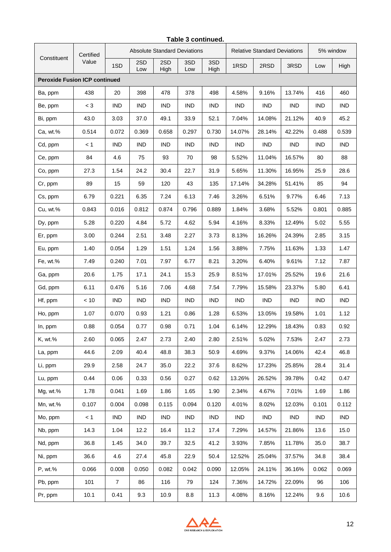|                                      | Certified |                |            |             | <b>Absolute Standard Deviations</b> |             |            | <b>Relative Standard Deviations</b> |            | 5% window  |            |
|--------------------------------------|-----------|----------------|------------|-------------|-------------------------------------|-------------|------------|-------------------------------------|------------|------------|------------|
| Constituent                          | Value     | 1SD            | 2SD<br>Low | 2SD<br>High | 3SD<br>Low                          | 3SD<br>High | 1RSD       | 2RSD                                | 3RSD       | Low        | High       |
| <b>Peroxide Fusion ICP continued</b> |           |                |            |             |                                     |             |            |                                     |            |            |            |
| Ba, ppm                              | 438       | 20             | 398        | 478         | 378                                 | 498         | 4.58%      | 9.16%                               | 13.74%     | 416        | 460        |
| Be, ppm                              | $<$ 3     | <b>IND</b>     | <b>IND</b> | <b>IND</b>  | <b>IND</b>                          | <b>IND</b>  | IND        | IND                                 | <b>IND</b> | <b>IND</b> | <b>IND</b> |
| Bi, ppm                              | 43.0      | 3.03           | 37.0       | 49.1        | 33.9                                | 52.1        | 7.04%      | 14.08%                              | 21.12%     | 40.9       | 45.2       |
| Ca, wt.%                             | 0.514     | 0.072          | 0.369      | 0.658       | 0.297                               | 0.730       | 14.07%     | 28.14%                              | 42.22%     | 0.488      | 0.539      |
| Cd, ppm                              | < 1       | <b>IND</b>     | <b>IND</b> | <b>IND</b>  | <b>IND</b>                          | <b>IND</b>  | <b>IND</b> | IND                                 | <b>IND</b> | <b>IND</b> | <b>IND</b> |
| Ce, ppm                              | 84        | 4.6            | 75         | 93          | 70                                  | 98          | 5.52%      | 11.04%                              | 16.57%     | 80         | 88         |
| Co, ppm                              | 27.3      | 1.54           | 24.2       | 30.4        | 22.7                                | 31.9        | 5.65%      | 11.30%                              | 16.95%     | 25.9       | 28.6       |
| Cr, ppm                              | 89        | 15             | 59         | 120         | 43                                  | 135         | 17.14%     | 34.28%                              | 51.41%     | 85         | 94         |
| Cs, ppm                              | 6.79      | 0.221          | 6.35       | 7.24        | 6.13                                | 7.46        | 3.26%      | 6.51%                               | 9.77%      | 6.46       | 7.13       |
| Cu, wt.%                             | 0.843     | 0.016          | 0.812      | 0.874       | 0.796                               | 0.889       | 1.84%      | 3.68%                               | 5.52%      | 0.801      | 0.885      |
| Dy, ppm                              | 5.28      | 0.220          | 4.84       | 5.72        | 4.62                                | 5.94        | 4.16%      | 8.33%                               | 12.49%     | 5.02       | 5.55       |
| Er, ppm                              | 3.00      | 0.244          | 2.51       | 3.48        | 2.27                                | 3.73        | 8.13%      | 16.26%                              | 24.39%     | 2.85       | 3.15       |
| Eu, ppm                              | 1.40      | 0.054          | 1.29       | 1.51        | 1.24                                | 1.56        | 3.88%      | 7.75%                               | 11.63%     | 1.33       | 1.47       |
| Fe, wt.%                             | 7.49      | 0.240          | 7.01       | 7.97        | 6.77                                | 8.21        | 3.20%      | 6.40%                               | 9.61%      | 7.12       | 7.87       |
| Ga, ppm                              | 20.6      | 1.75           | 17.1       | 24.1        | 15.3                                | 25.9        | 8.51%      | 17.01%                              | 25.52%     | 19.6       | 21.6       |
| Gd, ppm                              | 6.11      | 0.476          | 5.16       | 7.06        | 4.68                                | 7.54        | 7.79%      | 15.58%                              | 23.37%     | 5.80       | 6.41       |
| Hf, ppm                              | < 10      | <b>IND</b>     | <b>IND</b> | <b>IND</b>  | <b>IND</b>                          | <b>IND</b>  | <b>IND</b> | IND                                 | IND        | <b>IND</b> | <b>IND</b> |
| Ho, ppm                              | 1.07      | 0.070          | 0.93       | 1.21        | 0.86                                | 1.28        | 6.53%      | 13.05%                              | 19.58%     | 1.01       | 1.12       |
| In, ppm                              | 0.88      | 0.054          | 0.77       | 0.98        | 0.71                                | 1.04        | 6.14%      | 12.29%                              | 18.43%     | 0.83       | 0.92       |
| K, wt.%                              | 2.60      | 0.065          | 2.47       | 2.73        | 2.40                                | 2.80        | 2.51%      | 5.02%                               | 7.53%      | 2.47       | 2.73       |
| La, ppm                              | 44.6      | 2.09           | 40.4       | 48.8        | 38.3                                | 50.9        | 4.69%      | 9.37%                               | 14.06%     | 42.4       | 46.8       |
| Li, ppm                              | 29.9      | 2.58           | 24.7       | 35.0        | 22.2                                | 37.6        | 8.62%      | 17.23%                              | 25.85%     | 28.4       | 31.4       |
| Lu, ppm                              | 0.44      | 0.06           | 0.33       | 0.56        | 0.27                                | 0.62        | 13.26%     | 26.52%                              | 39.78%     | 0.42       | 0.47       |
| Mg, wt.%                             | 1.78      | 0.041          | 1.69       | 1.86        | 1.65                                | 1.90        | 2.34%      | 4.67%                               | 7.01%      | 1.69       | 1.86       |
| Mn, wt.%                             | 0.107     | 0.004          | 0.098      | 0.115       | 0.094                               | 0.120       | 4.01%      | 8.02%                               | 12.03%     | 0.101      | 0.112      |
| Mo, ppm                              | < 1       | <b>IND</b>     | <b>IND</b> | <b>IND</b>  | IND                                 | <b>IND</b>  | IND        | IND                                 | IND        | IND        | <b>IND</b> |
| Nb, ppm                              | 14.3      | 1.04           | 12.2       | 16.4        | 11.2                                | 17.4        | 7.29%      | 14.57%                              | 21.86%     | 13.6       | 15.0       |
| Nd, ppm                              | 36.8      | 1.45           | 34.0       | 39.7        | 32.5                                | 41.2        | 3.93%      | 7.85%                               | 11.78%     | 35.0       | 38.7       |
| Ni, ppm                              | 36.6      | 4.6            | 27.4       | 45.8        | 22.9                                | 50.4        | 12.52%     | 25.04%                              | 37.57%     | 34.8       | 38.4       |
| P, wt.%                              | 0.066     | 0.008          | 0.050      | 0.082       | 0.042                               | 0.090       | 12.05%     | 24.11%                              | 36.16%     | 0.062      | 0.069      |
| Pb, ppm                              | 101       | $\overline{7}$ | 86         | 116         | 79                                  | 124         | 7.36%      | 14.72%                              | 22.09%     | 96         | 106        |
| Pr, ppm                              | 10.1      | 0.41           | 9.3        | 10.9        | 8.8                                 | 11.3        | 4.08%      | 8.16%                               | 12.24%     | 9.6        | 10.6       |



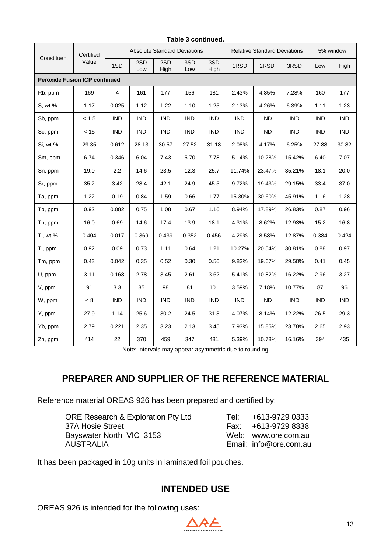|                                      | Certified |                |            |             | <b>Absolute Standard Deviations</b> |             |            | <b>Relative Standard Deviations</b> |            | 5% window  |            |
|--------------------------------------|-----------|----------------|------------|-------------|-------------------------------------|-------------|------------|-------------------------------------|------------|------------|------------|
| Constituent                          | Value     | 1SD            | 2SD<br>Low | 2SD<br>High | 3SD<br>Low                          | 3SD<br>High | 1RSD       | 2RSD                                | 3RSD       | Low        | High       |
| <b>Peroxide Fusion ICP continued</b> |           |                |            |             |                                     |             |            |                                     |            |            |            |
| Rb, ppm                              | 169       | $\overline{4}$ | 161        | 177         | 156                                 | 181         | 2.43%      | 4.85%                               | 7.28%      | 160        | 177        |
| S, wt.%                              | 1.17      | 0.025          | 1.12       | 1.22        | 1.10                                | 1.25        | 2.13%      | 4.26%                               | 6.39%      | 1.11       | 1.23       |
| Sb, ppm                              | < 1.5     | <b>IND</b>     | <b>IND</b> | <b>IND</b>  | <b>IND</b>                          | <b>IND</b>  | <b>IND</b> | <b>IND</b>                          | <b>IND</b> | <b>IND</b> | <b>IND</b> |
| Sc, ppm                              | < 15      | <b>IND</b>     | <b>IND</b> | <b>IND</b>  | <b>IND</b>                          | <b>IND</b>  | <b>IND</b> | <b>IND</b>                          | IND        | <b>IND</b> | <b>IND</b> |
| Si, wt.%                             | 29.35     | 0.612          | 28.13      | 30.57       | 27.52                               | 31.18       | 2.08%      | 4.17%                               | 6.25%      | 27.88      | 30.82      |
| Sm, ppm                              | 6.74      | 0.346          | 6.04       | 7.43        | 5.70                                | 7.78        | 5.14%      | 10.28%                              | 15.42%     | 6.40       | 7.07       |
| Sn, ppm                              | 19.0      | 2.2            | 14.6       | 23.5        | 12.3                                | 25.7        | 11.74%     | 23.47%                              | 35.21%     | 18.1       | 20.0       |
| Sr, ppm                              | 35.2      | 3.42           | 28.4       | 42.1        | 24.9                                | 45.5        | 9.72%      | 19.43%                              | 29.15%     | 33.4       | 37.0       |
| Ta, ppm                              | 1.22      | 0.19           | 0.84       | 1.59        | 0.66                                | 1.77        | 15.30%     | 30.60%                              | 45.91%     | 1.16       | 1.28       |
| Tb, ppm                              | 0.92      | 0.082          | 0.75       | 1.08        | 0.67                                | 1.16        | 8.94%      | 17.89%                              | 26.83%     | 0.87       | 0.96       |
| Th, ppm                              | 16.0      | 0.69           | 14.6       | 17.4        | 13.9                                | 18.1        | 4.31%      | 8.62%                               | 12.93%     | 15.2       | 16.8       |
| Ti, wt.%                             | 0.404     | 0.017          | 0.369      | 0.439       | 0.352                               | 0.456       | 4.29%      | 8.58%                               | 12.87%     | 0.384      | 0.424      |
| TI, ppm                              | 0.92      | 0.09           | 0.73       | 1.11        | 0.64                                | 1.21        | 10.27%     | 20.54%                              | 30.81%     | 0.88       | 0.97       |
| Tm, ppm                              | 0.43      | 0.042          | 0.35       | 0.52        | 0.30                                | 0.56        | 9.83%      | 19.67%                              | 29.50%     | 0.41       | 0.45       |
| U, ppm                               | 3.11      | 0.168          | 2.78       | 3.45        | 2.61                                | 3.62        | 5.41%      | 10.82%                              | 16.22%     | 2.96       | 3.27       |
| V, ppm                               | 91        | 3.3            | 85         | 98          | 81                                  | 101         | 3.59%      | 7.18%                               | 10.77%     | 87         | 96         |
| W, ppm                               | < 8       | <b>IND</b>     | <b>IND</b> | <b>IND</b>  | <b>IND</b>                          | <b>IND</b>  | <b>IND</b> | <b>IND</b>                          | <b>IND</b> | <b>IND</b> | <b>IND</b> |
| Y, ppm                               | 27.9      | 1.14           | 25.6       | 30.2        | 24.5                                | 31.3        | 4.07%      | 8.14%                               | 12.22%     | 26.5       | 29.3       |
| Yb, ppm                              | 2.79      | 0.221          | 2.35       | 3.23        | 2.13                                | 3.45        | 7.93%      | 15.85%                              | 23.78%     | 2.65       | 2.93       |
| Zn, ppm                              | 414       | 22             | 370        | 459         | 347                                 | 481         | 5.39%      | 10.78%                              | 16.16%     | 394        | 435        |

#### **Table 3 continued.**

Note: intervals may appear asymmetric due to rounding

# **PREPARER AND SUPPLIER OF THE REFERENCE MATERIAL**

Reference material OREAS 926 has been prepared and certified by:

| ORE Research & Exploration Pty Ltd | Tel: | +613-9729 0333         |
|------------------------------------|------|------------------------|
| 37A Hosie Street                   |      | Fax: +613-9729 8338    |
| Bayswater North VIC 3153           |      | Web: www.ore.com.au    |
| AUSTRALIA                          |      | Email: info@ore.com.au |

It has been packaged in 10g units in laminated foil pouches.

# **INTENDED USE**

OREAS 926 is intended for the following uses: